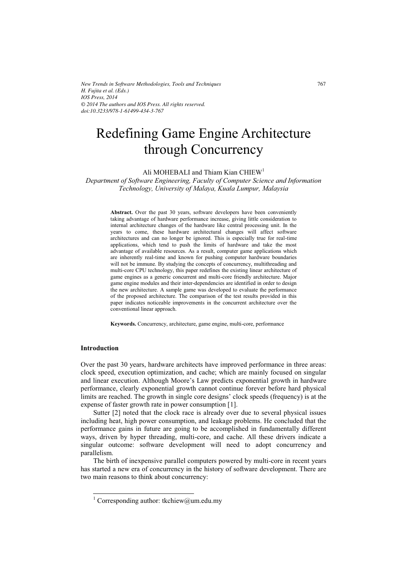# Redefining Game Engine Architecture through Concurrency

Ali MOHEBALI and Thiam Kian CHIEW<sup>1</sup>

*Department of Software Engineering, Faculty of Computer Science and Information Technology, University of Malaya, Kuala Lumpur, Malaysia* 

> **Abstract.** Over the past 30 years, software developers have been conveniently taking advantage of hardware performance increase, giving little consideration to internal architecture changes of the hardware like central processing unit. In the years to come, these hardware architectural changes will affect software architectures and can no longer be ignored. This is especially true for real-time applications, which tend to push the limits of hardware and take the most advantage of available resources. As a result, computer game applications which are inherently real-time and known for pushing computer hardware boundaries will not be immune. By studying the concepts of concurrency, multithreading and multi-core CPU technology, this paper redefines the existing linear architecture of game engines as a generic concurrent and multi-core friendly architecture. Major game engine modules and their inter-dependencies are identified in order to design the new architecture. A sample game was developed to evaluate the performance of the proposed architecture. The comparison of the test results provided in this paper indicates noticeable improvements in the concurrent architecture over the conventional linear approach.

**Keywords.** Concurrency, architecture, game engine, multi-core, performance

## **Introduction**

j

Over the past 30 years, hardware architects have improved performance in three areas: clock speed, execution optimization, and cache; which are mainly focused on singular and linear execution. Although Moore's Law predicts exponential growth in hardware performance, clearly exponential growth cannot continue forever before hard physical limits are reached. The growth in single core designs' clock speeds (frequency) is at the expense of faster growth rate in power consumption [1].

Sutter [2] noted that the clock race is already over due to several physical issues including heat, high power consumption, and leakage problems. He concluded that the performance gains in future are going to be accomplished in fundamentally different ways, driven by hyper threading, multi-core, and cache. All these drivers indicate a singular outcome: software development will need to adopt concurrency and parallelism.

The birth of inexpensive parallel computers powered by multi-core in recent years has started a new era of concurrency in the history of software development. There are two main reasons to think about concurrency:

<sup>&</sup>lt;sup>1</sup> Corresponding author: tkchiew@um.edu.my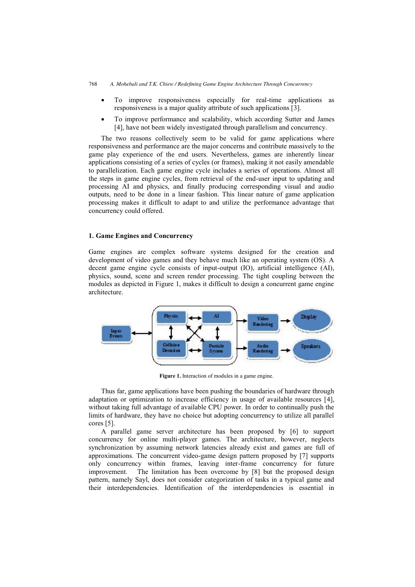- $\bullet$  To improve responsiveness especially for real-time applications as responsiveness is a major quality attribute of such applications [3].
- $\bullet$  To improve performance and scalability, which according Sutter and James [4], have not been widely investigated through parallelism and concurrency.

The two reasons collectively seem to be valid for game applications where responsiveness and performance are the major concerns and contribute massively to the game play experience of the end users. Nevertheless, games are inherently linear applications consisting of a series of cycles (or frames), making it not easily amendable to parallelization. Each game engine cycle includes a series of operations. Almost all the steps in game engine cycles, from retrieval of the end-user input to updating and processing AI and physics, and finally producing corresponding visual and audio outputs, need to be done in a linear fashion. This linear nature of game application processing makes it difficult to adapt to and utilize the performance advantage that concurrency could offered.

## **1. Game Engines and Concurrency**

Game engines are complex software systems designed for the creation and development of video games and they behave much like an operating system (OS). A decent game engine cycle consists of input-output (IO), artificial intelligence (AI), physics, sound, scene and screen render processing. The tight coupling between the modules as depicted in Figure 1, makes it difficult to design a concurrent game engine architecture.



**Figure 1.** Interaction of modules in a game engine.

Thus far, game applications have been pushing the boundaries of hardware through adaptation or optimization to increase efficiency in usage of available resources [4], without taking full advantage of available CPU power. In order to continually push the limits of hardware, they have no choice but adopting concurrency to utilize all parallel cores [5].

A parallel game server architecture has been proposed by [6] to support concurrency for online multi-player games. The architecture, however, neglects synchronization by assuming network latencies already exist and games are full of approximations. The concurrent video-game design pattern proposed by [7] supports only concurrency within frames, leaving inter-frame concurrency for future improvement. The limitation has been overcome by [8] but the proposed design pattern, namely Sayl, does not consider categorization of tasks in a typical game and their interdependencies. Identification of the interdependencies is essential in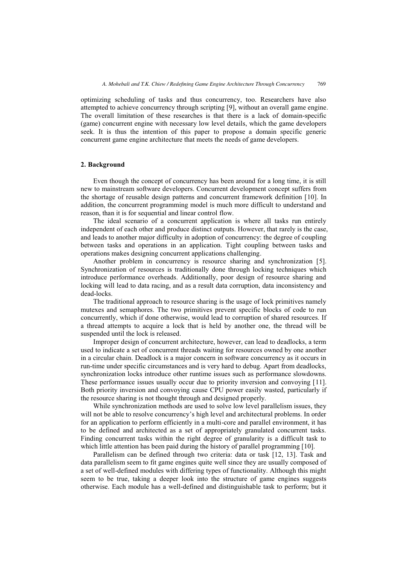optimizing scheduling of tasks and thus concurrency, too. Researchers have also attempted to achieve concurrency through scripting [9], without an overall game engine. The overall limitation of these researches is that there is a lack of domain-specific (game) concurrent engine with necessary low level details, which the game developers seek. It is thus the intention of this paper to propose a domain specific generic concurrent game engine architecture that meets the needs of game developers.

#### **2. Background**

Even though the concept of concurrency has been around for a long time, it is still new to mainstream software developers. Concurrent development concept suffers from the shortage of reusable design patterns and concurrent framework definition [10]. In addition, the concurrent programming model is much more difficult to understand and reason, than it is for sequential and linear control flow.

The ideal scenario of a concurrent application is where all tasks run entirely independent of each other and produce distinct outputs. However, that rarely is the case, and leads to another major difficulty in adoption of concurrency: the degree of coupling between tasks and operations in an application. Tight coupling between tasks and operations makes designing concurrent applications challenging.

Another problem in concurrency is resource sharing and synchronization [5]. Synchronization of resources is traditionally done through locking techniques which introduce performance overheads. Additionally, poor design of resource sharing and locking will lead to data racing, and as a result data corruption, data inconsistency and dead-locks.

The traditional approach to resource sharing is the usage of lock primitives namely mutexes and semaphores. The two primitives prevent specific blocks of code to run concurrently, which if done otherwise, would lead to corruption of shared resources. If a thread attempts to acquire a lock that is held by another one, the thread will be suspended until the lock is released.

Improper design of concurrent architecture, however, can lead to deadlocks, a term used to indicate a set of concurrent threads waiting for resources owned by one another in a circular chain. Deadlock is a major concern in software concurrency as it occurs in run-time under specific circumstances and is very hard to debug. Apart from deadlocks, synchronization locks introduce other runtime issues such as performance slowdowns. These performance issues usually occur due to priority inversion and convoying [11]. Both priority inversion and convoying cause CPU power easily wasted, particularly if the resource sharing is not thought through and designed properly.

While synchronization methods are used to solve low level parallelism issues, they will not be able to resolve concurrency's high level and architectural problems. In order for an application to perform efficiently in a multi-core and parallel environment, it has to be defined and architected as a set of appropriately granulated concurrent tasks. Finding concurrent tasks within the right degree of granularity is a difficult task to which little attention has been paid during the history of parallel programming [10].

Parallelism can be defined through two criteria: data or task [12, 13]. Task and data parallelism seem to fit game engines quite well since they are usually composed of a set of well-defined modules with differing types of functionality. Although this might seem to be true, taking a deeper look into the structure of game engines suggests otherwise. Each module has a well-defined and distinguishable task to perform; but it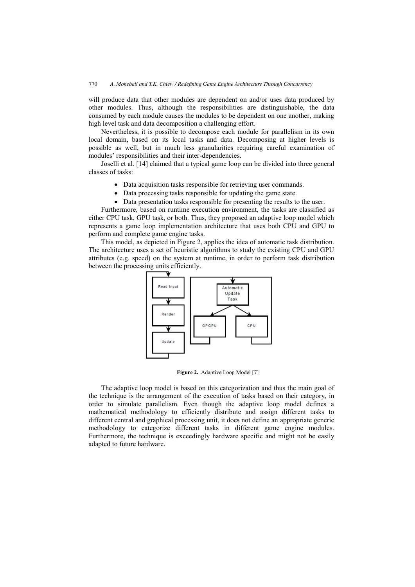will produce data that other modules are dependent on and/or uses data produced by other modules. Thus, although the responsibilities are distinguishable, the data consumed by each module causes the modules to be dependent on one another, making high level task and data decomposition a challenging effort.

Nevertheless, it is possible to decompose each module for parallelism in its own local domain, based on its local tasks and data. Decomposing at higher levels is possible as well, but in much less granularities requiring careful examination of modules' responsibilities and their inter-dependencies.

Joselli et al. [14] claimed that a typical game loop can be divided into three general classes of tasks:

- Data acquisition tasks responsible for retrieving user commands.
- Data processing tasks responsible for updating the game state.
- Data presentation tasks responsible for presenting the results to the user.

Furthermore, based on runtime execution environment, the tasks are classified as either CPU task, GPU task, or both. Thus, they proposed an adaptive loop model which represents a game loop implementation architecture that uses both CPU and GPU to perform and complete game engine tasks.

This model, as depicted in Figure 2, applies the idea of automatic task distribution. The architecture uses a set of heuristic algorithms to study the existing CPU and GPU attributes (e.g. speed) on the system at runtime, in order to perform task distribution between the processing units efficiently.



**Figure 2.** Adaptive Loop Model [7]

The adaptive loop model is based on this categorization and thus the main goal of the technique is the arrangement of the execution of tasks based on their category, in order to simulate parallelism. Even though the adaptive loop model defines a mathematical methodology to efficiently distribute and assign different tasks to different central and graphical processing unit, it does not define an appropriate generic methodology to categorize different tasks in different game engine modules. Furthermore, the technique is exceedingly hardware specific and might not be easily adapted to future hardware.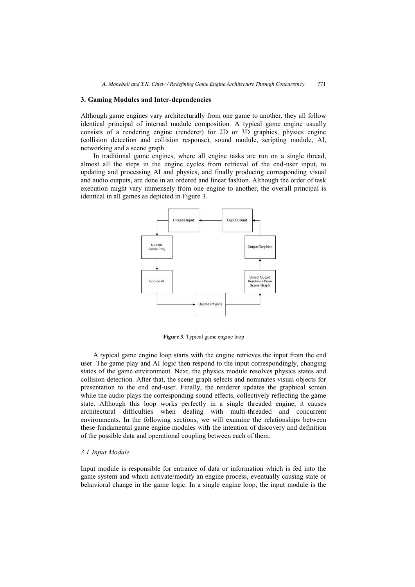#### **3. Gaming Modules and Inter-dependencies**

Although game engines vary architecturally from one game to another, they all follow identical principal of internal module composition. A typical game engine usually consists of a rendering engine (renderer) for 2D or 3D graphics, physics engine (collision detection and collision response), sound module, scripting module, AI, networking and a scene graph.

In traditional game engines, where all engine tasks are run on a single thread, almost all the steps in the engine cycles from retrieval of the end-user input, to updating and processing AI and physics, and finally producing corresponding visual and audio outputs, are done in an ordered and linear fashion. Although the order of task execution might vary immensely from one engine to another, the overall principal is identical in all games as depicted in Figure 3.



**Figure 3.** Typical game engine loop

A typical game engine loop starts with the engine retrieves the input from the end user. The game play and AI logic then respond to the input correspondingly, changing states of the game environment. Next, the physics module resolves physics states and collision detection. After that, the scene graph selects and nominates visual objects for presentation to the end end-user. Finally, the renderer updates the graphical screen while the audio plays the corresponding sound effects, collectively reflecting the game state. Although this loop works perfectly in a single threaded engine, it causes architectural difficulties when dealing with multi-threaded and concurrent environments. In the following sections, we will examine the relationships between these fundamental game engine modules with the intention of discovery and definition of the possible data and operational coupling between each of them.

#### *3.1 Input Module*

Input module is responsible for entrance of data or information which is fed into the game system and which activate/modify an engine process, eventually causing state or behavioral change in the game logic. In a single engine loop, the input module is the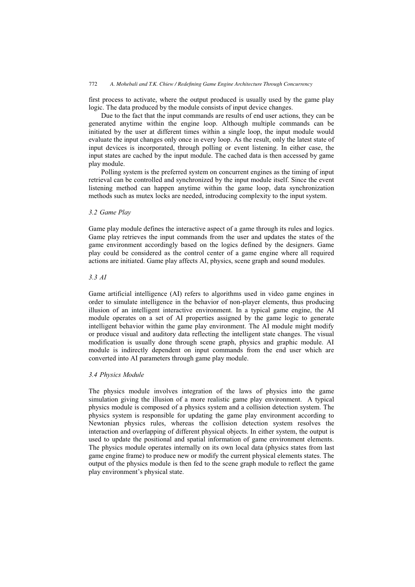first process to activate, where the output produced is usually used by the game play logic. The data produced by the module consists of input device changes.

Due to the fact that the input commands are results of end user actions, they can be generated anytime within the engine loop. Although multiple commands can be initiated by the user at different times within a single loop, the input module would evaluate the input changes only once in every loop. As the result, only the latest state of input devices is incorporated, through polling or event listening. In either case, the input states are cached by the input module. The cached data is then accessed by game play module.

Polling system is the preferred system on concurrent engines as the timing of input retrieval can be controlled and synchronized by the input module itself. Since the event listening method can happen anytime within the game loop, data synchronization methods such as mutex locks are needed, introducing complexity to the input system.

## *3.2 Game Play*

Game play module defines the interactive aspect of a game through its rules and logics. Game play retrieves the input commands from the user and updates the states of the game environment accordingly based on the logics defined by the designers. Game play could be considered as the control center of a game engine where all required actions are initiated. Game play affects AI, physics, scene graph and sound modules.

## *3.3 AI*

Game artificial intelligence (AI) refers to algorithms used in video game engines in order to simulate intelligence in the behavior of non-player elements, thus producing illusion of an intelligent interactive environment. In a typical game engine, the AI module operates on a set of AI properties assigned by the game logic to generate intelligent behavior within the game play environment. The AI module might modify or produce visual and auditory data reflecting the intelligent state changes. The visual modification is usually done through scene graph, physics and graphic module. AI module is indirectly dependent on input commands from the end user which are converted into AI parameters through game play module.

# *3.4 Physics Module*

The physics module involves integration of the laws of physics into the game simulation giving the illusion of a more realistic game play environment. A typical physics module is composed of a physics system and a collision detection system. The physics system is responsible for updating the game play environment according to Newtonian physics rules, whereas the collision detection system resolves the interaction and overlapping of different physical objects. In either system, the output is used to update the positional and spatial information of game environment elements. The physics module operates internally on its own local data (physics states from last game engine frame) to produce new or modify the current physical elements states. The output of the physics module is then fed to the scene graph module to reflect the game play environment's physical state.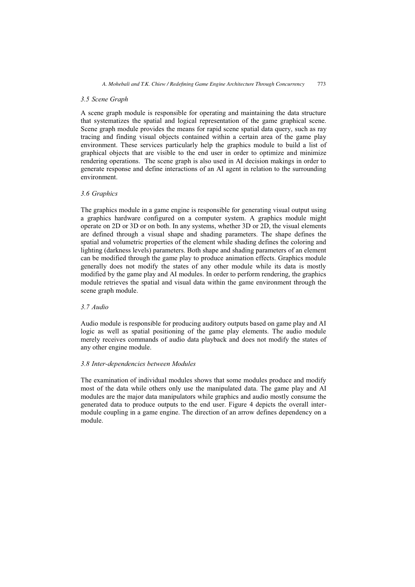# *3.5 Scene Graph*

A scene graph module is responsible for operating and maintaining the data structure that systematizes the spatial and logical representation of the game graphical scene. Scene graph module provides the means for rapid scene spatial data query, such as ray tracing and finding visual objects contained within a certain area of the game play environment. These services particularly help the graphics module to build a list of graphical objects that are visible to the end user in order to optimize and minimize rendering operations. The scene graph is also used in AI decision makings in order to generate response and define interactions of an AI agent in relation to the surrounding environment.

# *3.6 Graphics*

The graphics module in a game engine is responsible for generating visual output using a graphics hardware configured on a computer system. A graphics module might operate on 2D or 3D or on both. In any systems, whether 3D or 2D, the visual elements are defined through a visual shape and shading parameters. The shape defines the spatial and volumetric properties of the element while shading defines the coloring and lighting (darkness levels) parameters. Both shape and shading parameters of an element can be modified through the game play to produce animation effects. Graphics module generally does not modify the states of any other module while its data is mostly modified by the game play and AI modules. In order to perform rendering, the graphics module retrieves the spatial and visual data within the game environment through the scene graph module.

# *3.7 Audio*

Audio module is responsible for producing auditory outputs based on game play and AI logic as well as spatial positioning of the game play elements. The audio module merely receives commands of audio data playback and does not modify the states of any other engine module.

# *3.8 Inter-dependencies between Modules*

The examination of individual modules shows that some modules produce and modify most of the data while others only use the manipulated data. The game play and AI modules are the major data manipulators while graphics and audio mostly consume the generated data to produce outputs to the end user. Figure 4 depicts the overall intermodule coupling in a game engine. The direction of an arrow defines dependency on a module.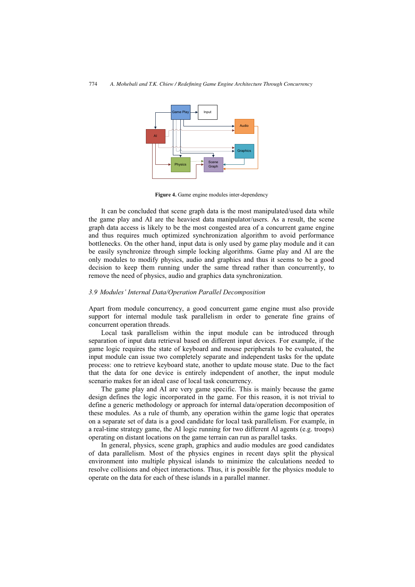

**Figure 4.** Game engine modules inter-dependency

It can be concluded that scene graph data is the most manipulated/used data while the game play and AI are the heaviest data manipulator/users. As a result, the scene graph data access is likely to be the most congested area of a concurrent game engine and thus requires much optimized synchronization algorithm to avoid performance bottlenecks. On the other hand, input data is only used by game play module and it can be easily synchronize through simple locking algorithms. Game play and AI are the only modules to modify physics, audio and graphics and thus it seems to be a good decision to keep them running under the same thread rather than concurrently, to remove the need of physics, audio and graphics data synchronization.

#### *3.9 Modules' Internal Data/Operation Parallel Decomposition*

Apart from module concurrency, a good concurrent game engine must also provide support for internal module task parallelism in order to generate fine grains of concurrent operation threads.

Local task parallelism within the input module can be introduced through separation of input data retrieval based on different input devices. For example, if the game logic requires the state of keyboard and mouse peripherals to be evaluated, the input module can issue two completely separate and independent tasks for the update process: one to retrieve keyboard state, another to update mouse state. Due to the fact that the data for one device is entirely independent of another, the input module scenario makes for an ideal case of local task concurrency.

The game play and AI are very game specific. This is mainly because the game design defines the logic incorporated in the game. For this reason, it is not trivial to define a generic methodology or approach for internal data/operation decomposition of these modules. As a rule of thumb, any operation within the game logic that operates on a separate set of data is a good candidate for local task parallelism. For example, in a real-time strategy game, the AI logic running for two different AI agents (e.g. troops) operating on distant locations on the game terrain can run as parallel tasks.

In general, physics, scene graph, graphics and audio modules are good candidates of data parallelism. Most of the physics engines in recent days split the physical environment into multiple physical islands to minimize the calculations needed to resolve collisions and object interactions. Thus, it is possible for the physics module to operate on the data for each of these islands in a parallel manner.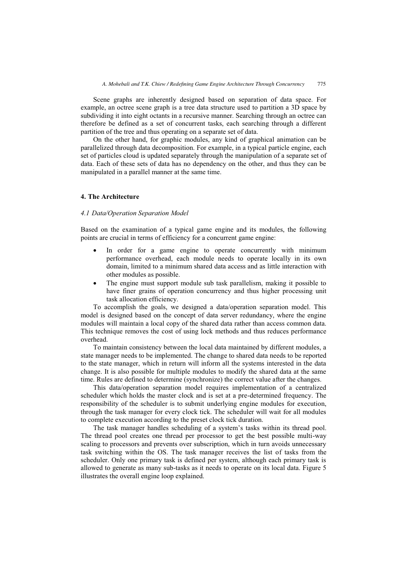Scene graphs are inherently designed based on separation of data space. For example, an octree scene graph is a tree data structure used to partition a 3D space by subdividing it into eight octants in a recursive manner. Searching through an octree can therefore be defined as a set of concurrent tasks, each searching through a different partition of the tree and thus operating on a separate set of data.

On the other hand, for graphic modules, any kind of graphical animation can be parallelized through data decomposition. For example, in a typical particle engine, each set of particles cloud is updated separately through the manipulation of a separate set of data. Each of these sets of data has no dependency on the other, and thus they can be manipulated in a parallel manner at the same time.

#### **4. The Architecture**

#### *4.1 Data/Operation Separation Model*

Based on the examination of a typical game engine and its modules, the following points are crucial in terms of efficiency for a concurrent game engine:

- $\bullet$  In order for a game engine to operate concurrently with minimum performance overhead, each module needs to operate locally in its own domain, limited to a minimum shared data access and as little interaction with other modules as possible.
- $\bullet$  The engine must support module sub task parallelism, making it possible to have finer grains of operation concurrency and thus higher processing unit task allocation efficiency.

To accomplish the goals, we designed a data/operation separation model. This model is designed based on the concept of data server redundancy, where the engine modules will maintain a local copy of the shared data rather than access common data. This technique removes the cost of using lock methods and thus reduces performance overhead.

To maintain consistency between the local data maintained by different modules, a state manager needs to be implemented. The change to shared data needs to be reported to the state manager, which in return will inform all the systems interested in the data change. It is also possible for multiple modules to modify the shared data at the same time. Rules are defined to determine (synchronize) the correct value after the changes.

This data/operation separation model requires implementation of a centralized scheduler which holds the master clock and is set at a pre-determined frequency. The responsibility of the scheduler is to submit underlying engine modules for execution, through the task manager for every clock tick. The scheduler will wait for all modules to complete execution according to the preset clock tick duration.

The task manager handles scheduling of a system's tasks within its thread pool. The thread pool creates one thread per processor to get the best possible multi-way scaling to processors and prevents over subscription, which in turn avoids unnecessary task switching within the OS. The task manager receives the list of tasks from the scheduler. Only one primary task is defined per system, although each primary task is allowed to generate as many sub-tasks as it needs to operate on its local data. Figure 5 illustrates the overall engine loop explained.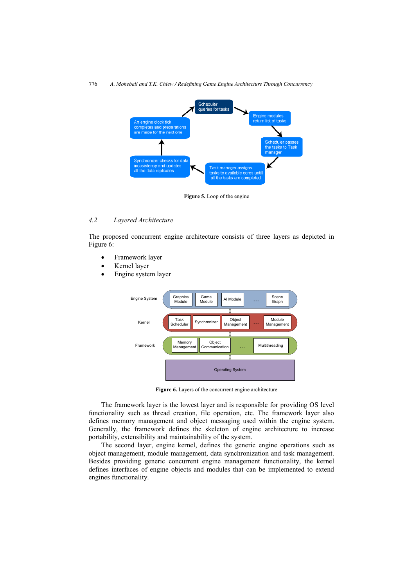

**Figure 5.** Loop of the engine

## *4.2 Layered Architecture*

The proposed concurrent engine architecture consists of three layers as depicted in Figure 6:

- -Framework layer
- $\bullet$ Kernel layer
- -Engine system layer



**Figure 6.** Layers of the concurrent engine architecture

The framework layer is the lowest layer and is responsible for providing OS level functionality such as thread creation, file operation, etc. The framework layer also defines memory management and object messaging used within the engine system. Generally, the framework defines the skeleton of engine architecture to increase portability, extensibility and maintainability of the system.

The second layer, engine kernel, defines the generic engine operations such as object management, module management, data synchronization and task management. Besides providing generic concurrent engine management functionality, the kernel defines interfaces of engine objects and modules that can be implemented to extend engines functionality.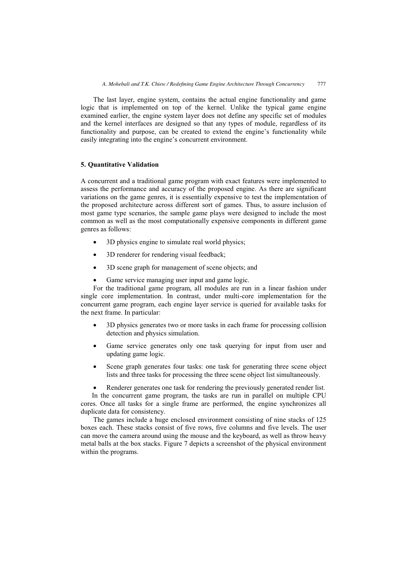The last layer, engine system, contains the actual engine functionality and game logic that is implemented on top of the kernel. Unlike the typical game engine examined earlier, the engine system layer does not define any specific set of modules and the kernel interfaces are designed so that any types of module, regardless of its functionality and purpose, can be created to extend the engine's functionality while easily integrating into the engine's concurrent environment.

# **5. Quantitative Validation**

A concurrent and a traditional game program with exact features were implemented to assess the performance and accuracy of the proposed engine. As there are significant variations on the game genres, it is essentially expensive to test the implementation of the proposed architecture across different sort of games. Thus, to assure inclusion of most game type scenarios, the sample game plays were designed to include the most common as well as the most computationally expensive components in different game genres as follows:

- $\bullet$ 3D physics engine to simulate real world physics;
- $\bullet$ 3D renderer for rendering visual feedback;
- $\bullet$ 3D scene graph for management of scene objects; and
- $\bullet$ Game service managing user input and game logic.

For the traditional game program, all modules are run in a linear fashion under single core implementation. In contrast, under multi-core implementation for the concurrent game program, each engine layer service is queried for available tasks for the next frame. In particular:

- - 3D physics generates two or more tasks in each frame for processing collision detection and physics simulation.
- $\bullet$  Game service generates only one task querying for input from user and updating game logic.
- $\bullet$  Scene graph generates four tasks: one task for generating three scene object lists and three tasks for processing the three scene object list simultaneously.
- $\bullet$ Renderer generates one task for rendering the previously generated render list.

In the concurrent game program, the tasks are run in parallel on multiple CPU cores. Once all tasks for a single frame are performed, the engine synchronizes all duplicate data for consistency.

The games include a huge enclosed environment consisting of nine stacks of 125 boxes each. These stacks consist of five rows, five columns and five levels. The user can move the camera around using the mouse and the keyboard, as well as throw heavy metal balls at the box stacks. Figure 7 depicts a screenshot of the physical environment within the programs.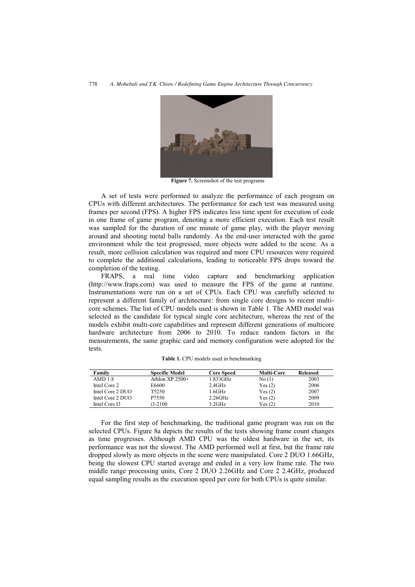

**Figure 7.** Screenshot of the test programs

A set of tests were performed to analyze the performance of each program on CPUs with different architectures. The performance for each test was measured using frames per second (FPS). A higher FPS indicates less time spent for execution of code in one frame of game program, denoting a more efficient execution. Each test result was sampled for the duration of one minute of game play, with the player moving around and shooting metal balls randomly. As the end-user interacted with the game environment while the test progressed, more objects were added to the scene. As a result, more collision calculation was required and more CPU resources were required to complete the additional calculations, leading to noticeable FPS drops toward the completion of the testing.

FRAPS, a real time video capture and benchmarking application (http://www.fraps.com) was used to measure the FPS of the game at runtime. Instrumentations were run on a set of CPUs. Each CPU was carefully selected to represent a different family of architecture: from single core designs to recent multicore schemes. The list of CPU models used is shown in Table 1. The AMD model was selected as the candidate for typical single core architecture, whereas the rest of the models exhibit multi-core capabilities and represent different generations of multicore hardware architecture from 2006 to 2010. To reduce random factors in the measurements, the same graphic card and memory configuration were adopted for the tests.

| Family           | <b>Specific Model</b> | <b>Core Speed</b> | Multi-Core | Released |
|------------------|-----------------------|-------------------|------------|----------|
| AMD 1.8          | Athlon $XP$ 2500+     | 1.833GHz          | No(1)      | 2003     |
| Intel Core 2     | E6600                 | $2.4$ GHz         | Yes(2)     | 2006     |
| Intel Core 2 DUO | T <sub>5250</sub>     | 1.6GHz            | Yes(2)     | 2007     |
| Intel Core 2 DUO | P <sub>7550</sub>     | $2.26$ GHz        | Yes(2)     | 2009     |
| Intel Core I3    | $i3-2100$             | 3.2GHz            | Yes(2)     | 2010     |

**Table 1.** CPU models used in benchmarking

For the first step of benchmarking, the traditional game program was run on the selected CPUs. Figure 8a depicts the results of the tests showing frame count changes as time progresses. Although AMD CPU was the oldest hardware in the set, its performance was not the slowest. The AMD performed well at first, but the frame rate dropped slowly as more objects in the scene were manipulated. Core 2 DUO 1.66GHz, being the slowest CPU started average and ended in a very low frame rate. The two middle range processing units, Core 2 DUO 2.26GHz and Core 2 2.4GHz, produced equal sampling results as the execution speed per core for both CPUs is quite similar.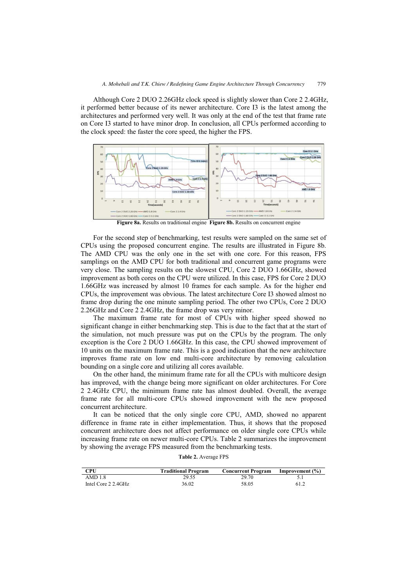Although Core 2 DUO 2.26GHz clock speed is slightly slower than Core 2 2.4GHz, it performed better because of its newer architecture. Core I3 is the latest among the architectures and performed very well. It was only at the end of the test that frame rate on Core I3 started to have minor drop. In conclusion, all CPUs performed according to the clock speed: the faster the core speed, the higher the FPS.



**Figure 8a.** Results on traditional engine **Figure 8b.** Results on concurrent engine

For the second step of benchmarking, test results were sampled on the same set of CPUs using the proposed concurrent engine. The results are illustrated in Figure 8b. The AMD CPU was the only one in the set with one core. For this reason, FPS samplings on the AMD CPU for both traditional and concurrent game programs were very close. The sampling results on the slowest CPU, Core 2 DUO 1.66GHz, showed improvement as both cores on the CPU were utilized. In this case, FPS for Core 2 DUO 1.66GHz was increased by almost 10 frames for each sample. As for the higher end CPUs, the improvement was obvious. The latest architecture Core I3 showed almost no frame drop during the one minute sampling period. The other two CPUs, Core 2 DUO 2.26GHz and Core 2 2.4GHz, the frame drop was very minor.

The maximum frame rate for most of CPUs with higher speed showed no significant change in either benchmarking step. This is due to the fact that at the start of the simulation, not much pressure was put on the CPUs by the program. The only exception is the Core 2 DUO 1.66GHz. In this case, the CPU showed improvement of 10 units on the maximum frame rate. This is a good indication that the new architecture improves frame rate on low end multi-core architecture by removing calculation bounding on a single core and utilizing all cores available.

On the other hand, the minimum frame rate for all the CPUs with multicore design has improved, with the change being more significant on older architectures. For Core 2 2.4GHz CPU, the minimum frame rate has almost doubled. Overall, the average frame rate for all multi-core CPUs showed improvement with the new proposed concurrent architecture.

It can be noticed that the only single core CPU, AMD, showed no apparent difference in frame rate in either implementation. Thus, it shows that the proposed concurrent architecture does not affect performance on older single core CPUs while increasing frame rate on newer multi-core CPUs. Table 2 summarizes the improvement by showing the average FPS measured from the benchmarking tests.

| <b>CPU</b>          | <b>Traditional Program</b> | <b>Concurrent Program</b> | Improvement $(\% )$ |
|---------------------|----------------------------|---------------------------|---------------------|
| AMD 1.8             | 29.55                      | 29.70                     |                     |
| Intel Core 2 2.4GHz | 36.02                      | 58.05                     | 61.2                |

**Table 2.** Average FPS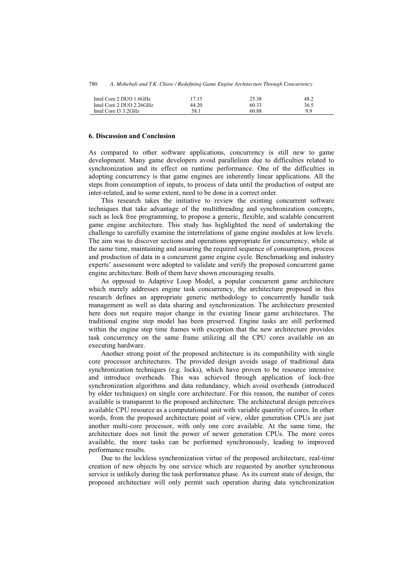| Intel Core 2 DUO 1.6GHz  | 17.13 | 25.38 | 48.2 |
|--------------------------|-------|-------|------|
| Intel Core 2 DUO 2.26GHz | 44.20 | 60.33 | 36.5 |
| Intel Core I3 3.2GHz     | 58.1  | 60.88 | 9.9  |

#### **6. Discussion and Conclusion**

As compared to other software applications, concurrency is still new to game development. Many game developers avoid parallelism due to difficulties related to synchronization and its effect on runtime performance. One of the difficulties in adopting concurrency is that game engines are inherently linear applications. All the steps from consumption of inputs, to process of data until the production of output are inter-related, and to some extent, need to be done in a correct order.

This research takes the initiative to review the existing concurrent software techniques that take advantage of the multithreading and synchronization concepts, such as lock free programming, to propose a generic, flexible, and scalable concurrent game engine architecture. This study has highlighted the need of undertaking the challenge to carefully examine the interrelations of game engine modules at low levels. The aim was to discover sections and operations appropriate for concurrency, while at the same time, maintaining and assuring the required sequence of consumption, process and production of data in a concurrent game engine cycle. Benchmarking and industry experts' assessment were adopted to validate and verify the proposed concurrent game engine architecture. Both of them have shown encouraging results.

As opposed to Adaptive Loop Model, a popular concurrent game architecture which merely addresses engine task concurrency, the architecture proposed in this research defines an appropriate generic methodology to concurrently handle task management as well as data sharing and synchronization. The architecture presented here does not require major change in the existing linear game architectures. The traditional engine step model has been preserved. Engine tasks are still performed within the engine step time frames with exception that the new architecture provides task concurrency on the same frame utilizing all the CPU cores available on an executing hardware.

Another strong point of the proposed architecture is its compatibility with single core processor architectures. The provided design avoids usage of traditional data synchronization techniques (e.g. locks), which have proven to be resource intensive and introduce overheads. This was achieved through application of lock-free synchronization algorithms and data redundancy, which avoid overheads (introduced by older techniques) on single core architecture. For this reason, the number of cores available is transparent to the proposed architecture. The architectural design perceives available CPU resource as a computational unit with variable quantity of cores. In other words, from the proposed architecture point of view, older generation CPUs are just another multi-core processor, with only one core available. At the same time, the architecture does not limit the power of newer generation CPUs. The more cores available, the more tasks can be performed synchronously, leading to improved performance results.

Due to the lockless synchronization virtue of the proposed architecture, real-time creation of new objects by one service which are requested by another synchronous service is unlikely during the task performance phase. As its current state of design, the proposed architecture will only permit such operation during data synchronization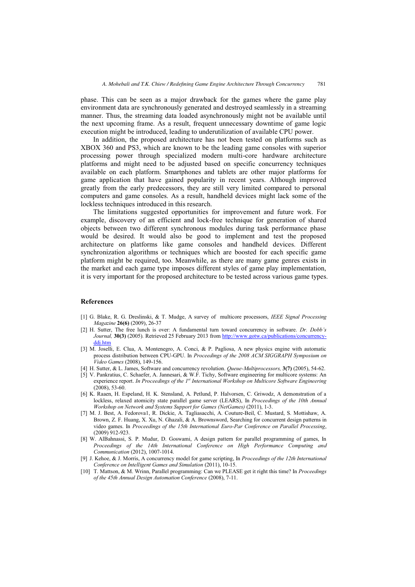phase. This can be seen as a major drawback for the games where the game play environment data are synchronously generated and destroyed seamlessly in a streaming manner. Thus, the streaming data loaded asynchronously might not be available until the next upcoming frame. As a result, frequent unnecessary downtime of game logic execution might be introduced, leading to underutilization of available CPU power.

In addition, the proposed architecture has not been tested on platforms such as XBOX 360 and PS3, which are known to be the leading game consoles with superior processing power through specialized modern multi-core hardware architecture platforms and might need to be adjusted based on specific concurrency techniques available on each platform. Smartphones and tablets are other major platforms for game application that have gained popularity in recent years. Although improved greatly from the early predecessors, they are still very limited compared to personal computers and game consoles. As a result, handheld devices might lack some of the lockless techniques introduced in this research.

The limitations suggested opportunities for improvement and future work. For example, discovery of an efficient and lock-free technique for generation of shared objects between two different synchronous modules during task performance phase would be desired. It would also be good to implement and test the proposed architecture on platforms like game consoles and handheld devices. Different synchronization algorithms or techniques which are boosted for each specific game platform might be required, too. Meanwhile, as there are many game genres exists in the market and each game type imposes different styles of game play implementation, it is very important for the proposed architecture to be tested across various game types.

#### **References**

- [1] G. Blake, R. G. Dreslinski, & T. Mudge, A survey of multicore processors, *IEEE Signal Processing Magazine* **26(6)** (2009), 26-37
- [2] H. Sutter, The free lunch is over: A fundamental turn toward concurrency in software. *Dr. Dobb's Journal,* **30(3)** (2005)*.* Retrieved 25 February 2013 from [http://www.gotw.ca/publications/concurrency](http://www.gotw.ca/publications/concurrency-ddj.htm)[ddj.htm](http://www.gotw.ca/publications/concurrency-ddj.htm)
- [3] M. Joselli, E. Clua, A. Montenegro, A. Conci, & P. Pagliosa, A new physics engine with automatic process distribution between CPU-GPU. In *Proceedings of the 2008 ACM SIGGRAPH Symposium on Video Games* (2008), 149-156.
- [4] H. Sutter, & L. James, Software and concurrency revolution. *Queue-Multiprocessors,* **3(7)** (2005), 54-62.
- [5] V. Pankratius, C. Schaefer, A. Jannesari, & W.F. Tichy, Software engineering for multicore systems: An experience report. *In Proceedings of the 1st International Workshop on Multicore Software Engineering* (2008), 53-60.
- [6] K. Raaen, H. Espeland, H. K. Stensland, A. Petlund, P. Halvorsen, C. Griwodz, A demonstration of a lockless, relaxed atomicity state parallel game server (LEARS), In *Proceedings of the 10th Annual Workshop on Network and Systems Support for Games (NetGames)* (2011), 1-3.
- [7] M. J. Best, A. Fedorova1, R. Dickie, A. Tagliasacchi, A. Couture-Beil, C. Mustard, S. Mottishaw, A. Brown, Z. F. Huang, X. Xu, N. Ghazali, & A. Brownsword, Searching for concurrent design patterns in video games. In *Proceedings of the 15th International Euro-Par Conference on Parallel Processing*, (2009) 912-923.
- [8] W. AlBahnassi, S. P. Mudur, D. Goswami, A design pattern for parallel programming of games, In *Proceedings of the 14th International Conference on High Performance Computing and Communication* (2012), 1007-1014.
- [9] J. Kehoe, & J. Morris, A concurrency model for game scripting, In *Proceedings of the 12th International Conference on Intelligent Games and Simulation* (2011), 10-15.
- [10] T. Mattson, & M. Wrinn, Parallel programming: Can we PLEASE get it right this time? In *Proceedings of the 45th Annual Design Automation Conference* (2008), 7-11.